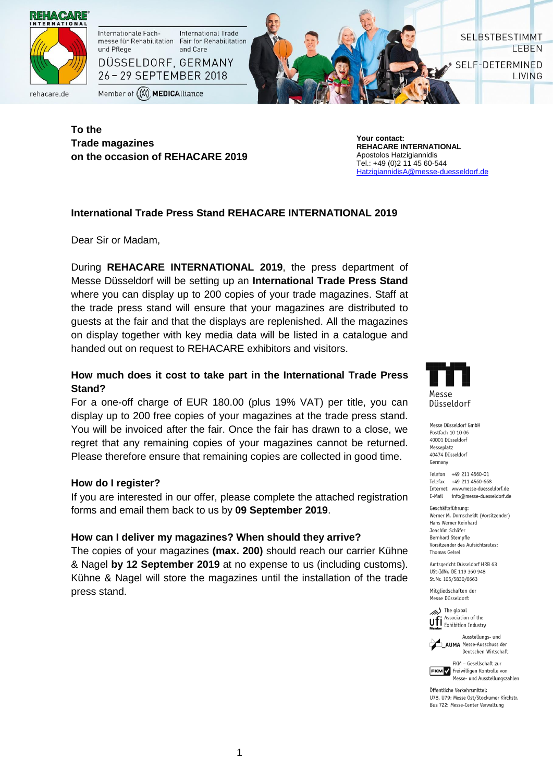

**To the Trade magazines on the occasion of REHACARE 2019**

**Your contact: REHACARE INTERNATIONAL** Apostolos Hatzigiannidis Tel.: +49 (0)2 11 45 60-544 [HatzigiannidisA@messe-duesseldorf.de](mailto:HatzigiannidisA@messe-duesseldorf.de)

SELBSTBESTIMMT

SELF-DETERMINED

LEBEN

**LIVING** 

## **International Trade Press Stand REHACARE INTERNATIONAL 2019**

Dear Sir or Madam,

During **REHACARE INTERNATIONAL 2019**, the press department of Messe Düsseldorf will be setting up an **International Trade Press Stand**  where you can display up to 200 copies of your trade magazines. Staff at the trade press stand will ensure that your magazines are distributed to guests at the fair and that the displays are replenished. All the magazines on display together with key media data will be listed in a catalogue and handed out on request to REHACARE exhibitors and visitors.

# **How much does it cost to take part in the International Trade Press Stand?**

For a one-off charge of EUR 180.00 (plus 19% VAT) per title, you can display up to 200 free copies of your magazines at the trade press stand. You will be invoiced after the fair. Once the fair has drawn to a close, we regret that any remaining copies of your magazines cannot be returned. Please therefore ensure that remaining copies are collected in good time.

## **How do I register?**

If you are interested in our offer, please complete the attached registration forms and email them back to us by **09 September 2019**.

#### **How can I deliver my magazines? When should they arrive?**

The copies of your magazines **(max. 200)** should reach our carrier Kühne & Nagel **by 12 September 2019** at no expense to us (including customs). Kühne & Nagel will store the magazines until the installation of the trade press stand.



Messe Düsseldorf GmbH Postfach 10 10 06 60001 Dijsseldorf Messenlatz 40474 Düsseldorf Germany

Telefon +49 211 4560-01 Telefax +49 211 4560-668 Internet www.messe-duesseldorf.de info@messe-duesseldorf.de F-Mail

Geschäftsführung Werner M. Dornscheidt (Vorsitzender) Hans Werner Reinhard Joachim Schäfer **Bernhard Stempfle** Vorsitzender des Aufsichtsrates: **Thomas Geisel** 

Amtsgericht Düsseldorf HRB 63 USt-TdNr. DF 119 360 948 St.Nr. 105/5830/0663

Mitaliedschaften der Messe Diisseldorf:

The global Association of the **U.F.** Association of the<br>Momber Exhibition Industry



AUMA Messe-Ausschuss der Deutschen Wirtschaft FKM - Gesellschaft zur

Ausstellungs- und

**FKM** Freiwilligen Kontrolle von Messe- und Ausstellungszahlen

Öffentliche Verkehremittel· U78. U79: Messe Ost/Stockumer Kirchstr. Bus 722: Messe-Center Verwaltung